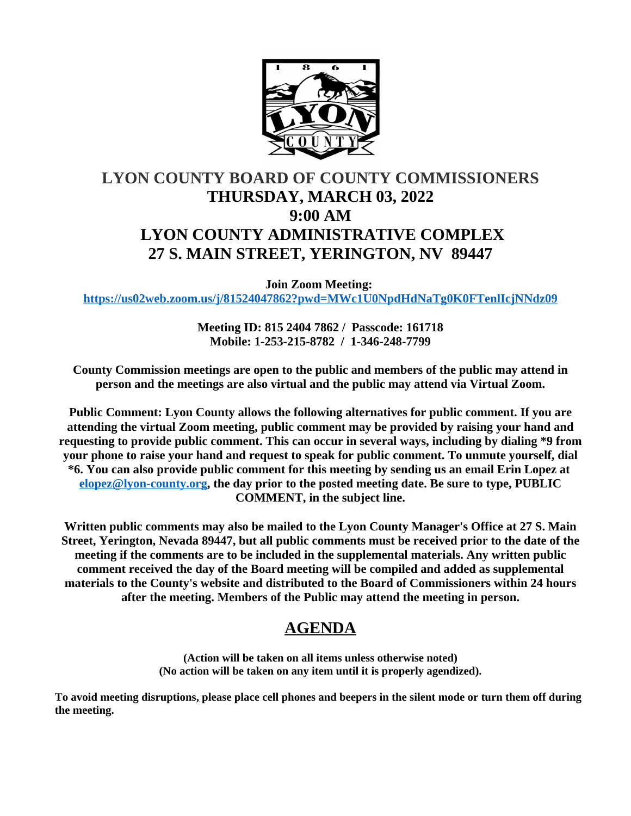

# **LYON COUNTY BOARD OF COUNTY COMMISSIONERS THURSDAY, MARCH 03, 2022 9:00 AM LYON COUNTY ADMINISTRATIVE COMPLEX 27 S. MAIN STREET, YERINGTON, NV 89447**

**Join Zoom Meeting: <https://us02web.zoom.us/j/81524047862?pwd=MWc1U0NpdHdNaTg0K0FTenlIcjNNdz09>**

> **Meeting ID: 815 2404 7862 / Passcode: 161718 Mobile: 1-253-215-8782 / 1-346-248-7799**

**County Commission meetings are open to the public and members of the public may attend in person and the meetings are also virtual and the public may attend via Virtual Zoom.**

**Public Comment: Lyon County allows the following alternatives for public comment. If you are attending the virtual Zoom meeting, public comment may be provided by raising your hand and requesting to provide public comment. This can occur in several ways, including by dialing \*9 from your phone to raise your hand and request to speak for public comment. To unmute yourself, dial \*6. You can also provide public comment for this meeting by sending us an email Erin Lopez at [elopez@lyon-county.org](mailto:elopez@lyon-county.org), the day prior to the posted meeting date. Be sure to type, PUBLIC COMMENT, in the subject line.**

**Written public comments may also be mailed to the Lyon County Manager's Office at 27 S. Main Street, Yerington, Nevada 89447, but all public comments must be received prior to the date of the meeting if the comments are to be included in the supplemental materials. Any written public comment received the day of the Board meeting will be compiled and added as supplemental materials to the County's website and distributed to the Board of Commissioners within 24 hours after the meeting. Members of the Public may attend the meeting in person.**

# **AGENDA**

**(Action will be taken on all items unless otherwise noted) (No action will be taken on any item until it is properly agendized).**

**To avoid meeting disruptions, please place cell phones and beepers in the silent mode or turn them off during the meeting.**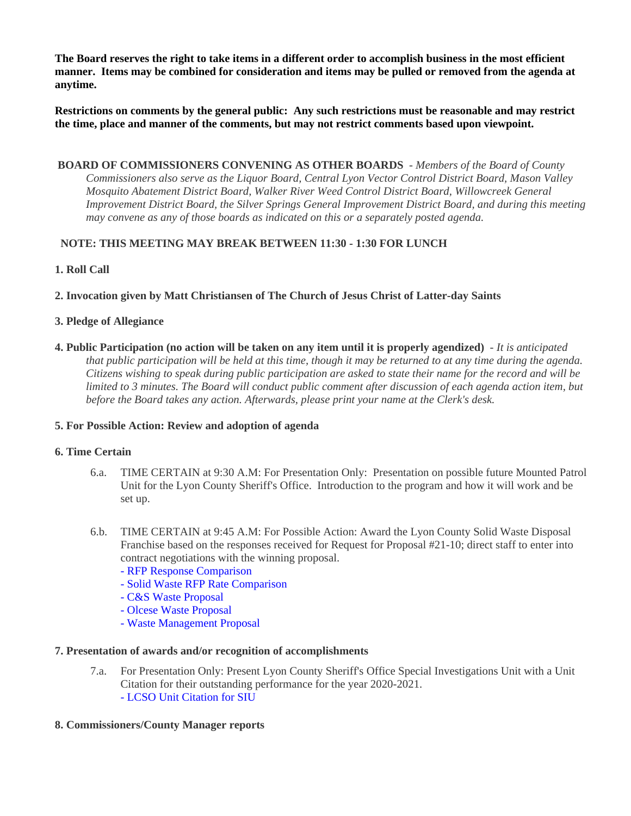**The Board reserves the right to take items in a different order to accomplish business in the most efficient manner. Items may be combined for consideration and items may be pulled or removed from the agenda at anytime.**

**Restrictions on comments by the general public: Any such restrictions must be reasonable and may restrict the time, place and manner of the comments, but may not restrict comments based upon viewpoint.**

 **BOARD OF COMMISSIONERS CONVENING AS OTHER BOARDS** - *Members of the Board of County Commissioners also serve as the Liquor Board, Central Lyon Vector Control District Board, Mason Valley Mosquito Abatement District Board, Walker River Weed Control District Board, Willowcreek General Improvement District Board, the Silver Springs General Improvement District Board, and during this meeting may convene as any of those boards as indicated on this or a separately posted agenda.*

# **NOTE: THIS MEETING MAY BREAK BETWEEN 11:30 - 1:30 FOR LUNCH**

### **1. Roll Call**

**2. Invocation given by Matt Christiansen of The Church of Jesus Christ of Latter-day Saints**

### **3. Pledge of Allegiance**

**4. Public Participation (no action will be taken on any item until it is properly agendized)** - *It is anticipated that public participation will be held at this time, though it may be returned to at any time during the agenda. Citizens wishing to speak during public participation are asked to state their name for the record and will be limited to 3 minutes. The Board will conduct public comment after discussion of each agenda action item, but before the Board takes any action. Afterwards, please print your name at the Clerk's desk.*

### **5. For Possible Action: Review and adoption of agenda**

### **6. Time Certain**

- 6.a. TIME CERTAIN at 9:30 A.M: For Presentation Only: Presentation on possible future Mounted Patrol Unit for the Lyon County Sheriff's Office. Introduction to the program and how it will work and be set up.
- 6.b. TIME CERTAIN at 9:45 A.M: For Possible Action: Award the Lyon County Solid Waste Disposal Franchise based on the responses received for Request for Proposal #21-10; direct staff to enter into contract negotiations with the winning proposal.
	- [RFP Response Comparison](https://legistarweb-production.s3.amazonaws.com/uploads/attachment/pdf/1258940/RFP_Response_Comparision.pdf)
	- [Solid Waste RFP Rate Comparison](https://legistarweb-production.s3.amazonaws.com/uploads/attachment/pdf/1258941/Solid_Waste_RFP_Rate_Comparision.pdf)
	- [C&S Waste Proposal](https://legistarweb-production.s3.amazonaws.com/uploads/attachment/pdf/1258942/PROPOSAL_RFP_21_10_Lyon_Co_CandSWaste.pdf)
	- [Olcese Waste Proposal](https://legistarweb-production.s3.amazonaws.com/uploads/attachment/pdf/1258943/SUBMITTAL_Lyon_County_RFP__21-10_OWS_01-31-22-_EDITED.pdf)
	- [Waste Management Proposal](https://legistarweb-production.s3.amazonaws.com/uploads/attachment/pdf/1258944/WM_Response_to_RFP_Number_21-10_Solid_Waste_Collection_and_Disposal_Franchise-Edited-2.pdf)

### **7. Presentation of awards and/or recognition of accomplishments**

- 7.a. For Presentation Only: Present Lyon County Sheriff's Office Special Investigations Unit with a Unit Citation for their outstanding performance for the year 2020-2021. [- LCSO Unit Citation for SIU](https://legistarweb-production.s3.amazonaws.com/uploads/attachment/pdf/1248866/Unit_citation.pdf)
- **8. Commissioners/County Manager reports**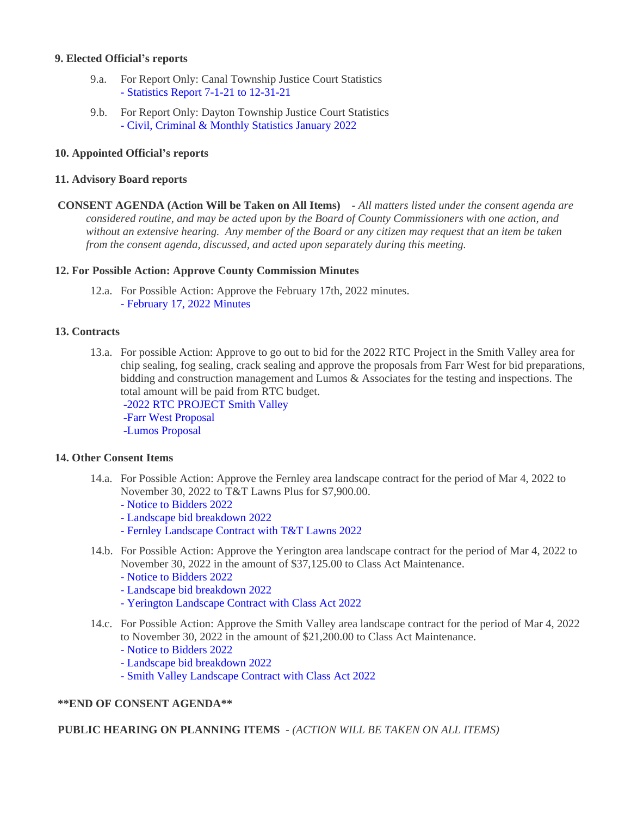### **9. Elected Official's reports**

- 9.a. For Report Only: Canal Township Justice Court Statistics [- Statistics Report 7-1-21 to 12-31-21](https://legistarweb-production.s3.amazonaws.com/uploads/attachment/pdf/1257211/7-1-21_to_12-31-21_Statistics.pdf)
- 9.b. For Report Only: Dayton Township Justice Court Statistics [- Civil, Criminal & Monthly Statistics January 2022](https://legistarweb-production.s3.amazonaws.com/uploads/attachment/pdf/1257769/Civil__Criminal___Monthly_Statistics_January_2022.pdf)

### **10. Appointed Official's reports**

### **11. Advisory Board reports**

 **CONSENT AGENDA (Action Will be Taken on All Items)** - *All matters listed under the consent agenda are considered routine, and may be acted upon by the Board of County Commissioners with one action, and without an extensive hearing. Any member of the Board or any citizen may request that an item be taken from the consent agenda, discussed, and acted upon separately during this meeting.*

### **12. For Possible Action: Approve County Commission Minutes**

12.a. For Possible Action: Approve the February 17th, 2022 minutes. [- February 17, 2022 Minutes](https://legistarweb-production.s3.amazonaws.com/uploads/attachment/pdf/1259514/02.17.22_comm_mtg.pdf)

### **13. Contracts**

13.a. For possible Action: Approve to go out to bid for the 2022 RTC Project in the Smith Valley area for chip sealing, fog sealing, crack sealing and approve the proposals from Farr West for bid preparations, bidding and construction management and Lumos & Associates for the testing and inspections. The total amount will be paid from RTC budget.

 [-2022 RTC PROJECT Smith Valley](https://legistarweb-production.s3.amazonaws.com/uploads/attachment/pdf/1249081/2022_RTC_PROJECT_Smith_Valley.pdf)

 [-Farr West Proposal](https://legistarweb-production.s3.amazonaws.com/uploads/attachment/pdf/1249082/Farr_West_Proposal.pdf)  [-Lumos Proposal](https://legistarweb-production.s3.amazonaws.com/uploads/attachment/pdf/1249083/Lumos_Proposal.pdf)

## **14. Other Consent Items**

- 14.a. For Possible Action: Approve the Fernley area landscape contract for the period of Mar 4, 2022 to November 30, 2022 to T&T Lawns Plus for \$7,900.00.
	- [Notice to Bidders 2022](https://legistarweb-production.s3.amazonaws.com/uploads/attachment/pdf/1262499/doc15444320220224133336.pdf)
	- [Landscape bid breakdown 2022](https://legistarweb-production.s3.amazonaws.com/uploads/attachment/pdf/1262501/doc15444420220224133350.pdf)
	- [Fernley Landscape Contract with T&T Lawns 2022](https://legistarweb-production.s3.amazonaws.com/uploads/attachment/pdf/1262496/doc15444620220224133954.pdf)
- 14.b. For Possible Action: Approve the Yerington area landscape contract for the period of Mar 4, 2022 to November 30, 2022 in the amount of \$37,125.00 to Class Act Maintenance.
	- [Notice to Bidders 2022](https://legistarweb-production.s3.amazonaws.com/uploads/attachment/pdf/1262516/doc15444320220224133336.pdf)
	- [Landscape bid breakdown 2022](https://legistarweb-production.s3.amazonaws.com/uploads/attachment/pdf/1262515/doc15444420220224133350.pdf)
	- [Yerington Landscape Contract with Class Act 2022](https://legistarweb-production.s3.amazonaws.com/uploads/attachment/pdf/1262519/doc15444220220224133226.pdf)
- 14.c. For Possible Action: Approve the Smith Valley area landscape contract for the period of Mar 4, 2022 to November 30, 2022 in the amount of \$21,200.00 to Class Act Maintenance.
	- [Notice to Bidders 2022](https://legistarweb-production.s3.amazonaws.com/uploads/attachment/pdf/1262541/doc15444320220224133336.pdf)
	- [Landscape bid breakdown 2022](https://legistarweb-production.s3.amazonaws.com/uploads/attachment/pdf/1262546/doc15444420220224133350.pdf)
	- [Smith Valley Landscape Contract with Class Act 2022](https://legistarweb-production.s3.amazonaws.com/uploads/attachment/pdf/1262552/doc15444520220224133841.pdf)

## **\*\*END OF CONSENT AGENDA\*\***

 **PUBLIC HEARING ON PLANNING ITEMS** - *(ACTION WILL BE TAKEN ON ALL ITEMS)*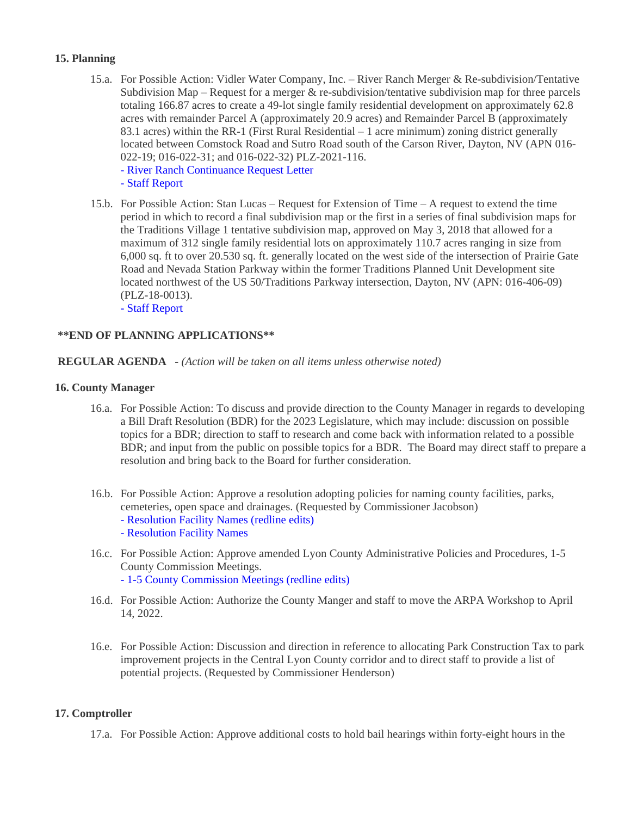### **15. Planning**

- 15.a. For Possible Action: Vidler Water Company, Inc. River Ranch Merger & Re-subdivision/Tentative Subdivision Map – Request for a merger  $\⊂>$  re-subdivision/tentative subdivision map for three parcels totaling 166.87 acres to create a 49-lot single family residential development on approximately 62.8 acres with remainder Parcel A (approximately 20.9 acres) and Remainder Parcel B (approximately 83.1 acres) within the RR-1 (First Rural Residential – 1 acre minimum) zoning district generally located between Comstock Road and Sutro Road south of the Carson River, Dayton, NV (APN 016- 022-19; 016-022-31; and 016-022-32) PLZ-2021-116.
	- [River Ranch Continuance Request Letter](https://legistarweb-production.s3.amazonaws.com/uploads/attachment/pdf/1259521/River_Ranch_BOCC_Continuance_Request.pdf)
	- [Staff Report](https://legistarweb-production.s3.amazonaws.com/uploads/attachment/pdf/1258019/River_Ranch_Tentative_SUB_Map_BOCC_03.03.2022_Staff_Report_and_Backup.pdf)
- 15.b. For Possible Action: Stan Lucas Request for Extension of Time A request to extend the time period in which to record a final subdivision map or the first in a series of final subdivision maps for the Traditions Village 1 tentative subdivision map, approved on May 3, 2018 that allowed for a maximum of 312 single family residential lots on approximately 110.7 acres ranging in size from 6,000 sq. ft to over 20.530 sq. ft. generally located on the west side of the intersection of Prairie Gate Road and Nevada Station Parkway within the former Traditions Planned Unit Development site located northwest of the US 50/Traditions Parkway intersection, Dayton, NV (APN: 016-406-09) (PLZ-18-0013). [- Staff Report](https://legistarweb-production.s3.amazonaws.com/uploads/attachment/pdf/1256203/Traditions_Village_1_Time_Extension-PLZ-18-0013_BOCC_Staff_Report_and_Backup_03.03.2022.pdf)

# **\*\*END OF PLANNING APPLICATIONS\*\***

### **REGULAR AGENDA** - *(Action will be taken on all items unless otherwise noted)*

#### **16. County Manager**

- 16.a. For Possible Action: To discuss and provide direction to the County Manager in regards to developing a Bill Draft Resolution (BDR) for the 2023 Legislature, which may include: discussion on possible topics for a BDR; direction to staff to research and come back with information related to a possible BDR; and input from the public on possible topics for a BDR. The Board may direct staff to prepare a resolution and bring back to the Board for further consideration.
- 16.b. For Possible Action: Approve a resolution adopting policies for naming county facilities, parks, cemeteries, open space and drainages. (Requested by Commissioner Jacobson)
	- [Resolution Facility Names \(redline edits\)](https://legistarweb-production.s3.amazonaws.com/uploads/attachment/pdf/1262028/02032022_RESOLUTION_FACILITY_NAMES_TC__1_.pdf)
	- [Resolution Facility Names](https://legistarweb-production.s3.amazonaws.com/uploads/attachment/pdf/1261461/02032022_RESOLUTION_FACILITY_NAMES_completed.pdf)
- 16.c. For Possible Action: Approve amended Lyon County Administrative Policies and Procedures, 1-5 County Commission Meetings. [- 1-5 County Commission Meetings \(redline edits\)](https://legistarweb-production.s3.amazonaws.com/uploads/attachment/pdf/1256334/1-5_County_Commission_Meetings__Redline_Version_.pdf)
- 16.d. For Possible Action: Authorize the County Manger and staff to move the ARPA Workshop to April 14, 2022.
- 16.e. For Possible Action: Discussion and direction in reference to allocating Park Construction Tax to park improvement projects in the Central Lyon County corridor and to direct staff to provide a list of potential projects. (Requested by Commissioner Henderson)

### **17. Comptroller**

17.a. For Possible Action: Approve additional costs to hold bail hearings within forty-eight hours in the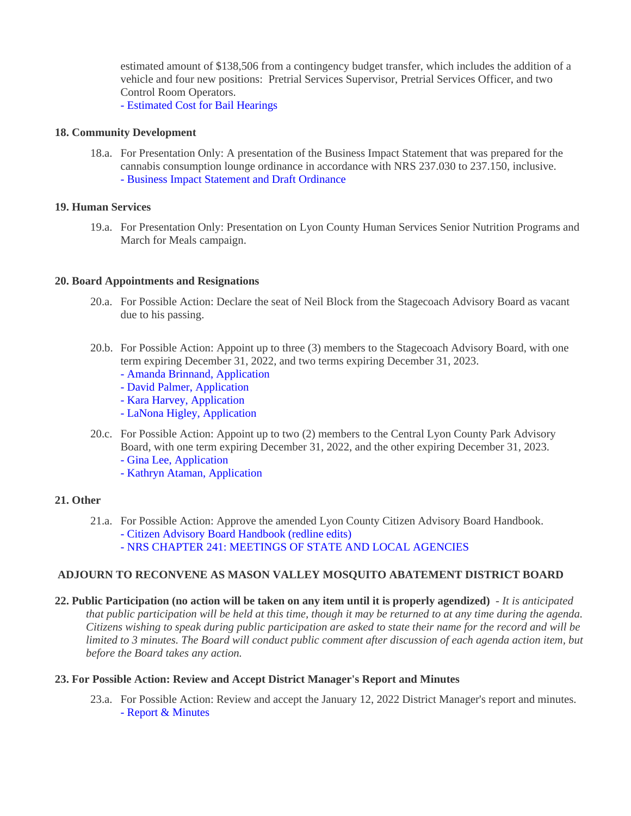estimated amount of \$138,506 from a contingency budget transfer, which includes the addition of a vehicle and four new positions: Pretrial Services Supervisor, Pretrial Services Officer, and two Control Room Operators.

[- Estimated Cost for Bail Hearings](https://legistarweb-production.s3.amazonaws.com/uploads/attachment/pdf/1256362/Estimated_Cost_for_Bail_Hearings.pdf)

### **18. Community Development**

18.a. For Presentation Only: A presentation of the Business Impact Statement that was prepared for the cannabis consumption lounge ordinance in accordance with NRS 237.030 to 237.150, inclusive. [- Business Impact Statement and Draft Ordinance](https://legistarweb-production.s3.amazonaws.com/uploads/attachment/pdf/1257734/Business_Impact_Statement_and_backup.pdf)

### **19. Human Services**

19.a. For Presentation Only: Presentation on Lyon County Human Services Senior Nutrition Programs and March for Meals campaign.

### **20. Board Appointments and Resignations**

- 20.a. For Possible Action: Declare the seat of Neil Block from the Stagecoach Advisory Board as vacant due to his passing.
- 20.b. For Possible Action: Appoint up to three (3) members to the Stagecoach Advisory Board, with one term expiring December 31, 2022, and two terms expiring December 31, 2023.
	- [Amanda Brinnand, Application](https://legistarweb-production.s3.amazonaws.com/uploads/attachment/pdf/1262692/doc15444720220224141946.pdf)
	- [David Palmer, Application](https://legistarweb-production.s3.amazonaws.com/uploads/attachment/pdf/1262741/doc15445120220224142714.pdf)
	- [Kara Harvey, Application](https://legistarweb-production.s3.amazonaws.com/uploads/attachment/pdf/1262742/doc15445020220224142701.pdf)
	- [LaNona](https://legistarweb-production.s3.amazonaws.com/uploads/attachment/pdf/1262743/doc15444920220224142645.pdf) [Higley, Application](https://legistarweb-production.s3.amazonaws.com/uploads/attachment/pdf/1262743/doc15444920220224142645.pdf)
- 20.c. For Possible Action: Appoint up to two (2) members to the Central Lyon County Park Advisory Board, with one term expiring December 31, 2022, and the other expiring December 31, 2023.
	- [Gina Lee, Application](https://legistarweb-production.s3.amazonaws.com/uploads/attachment/pdf/1256169/Gina_Lee__Application.pdf)
	- [Kathryn Ataman, Application](https://legistarweb-production.s3.amazonaws.com/uploads/attachment/pdf/1262398/Kathryn_Ataman__Application.pdf)

### **21. Other**

- 21.a. For Possible Action: Approve the amended Lyon County Citizen Advisory Board Handbook.
	- [Citizen Advisory Board Handbook \(redline edits\)](https://legistarweb-production.s3.amazonaws.com/uploads/attachment/pdf/1247915/CAB_Handbook_2022.pdf)
	- [NRS CHAPTER 241: MEETINGS OF STATE AND LOCAL AGENCIES](https://legistarweb-production.s3.amazonaws.com/uploads/attachment/pdf/1245557/NRS__CHAPTER_241_-_MEETINGS_OF_STATE_AND_LOCAL_AGENCIES.pdf)

### **ADJOURN TO RECONVENE AS MASON VALLEY MOSQUITO ABATEMENT DISTRICT BOARD**

**22. Public Participation (no action will be taken on any item until it is properly agendized)** - *It is anticipated that public participation will be held at this time, though it may be returned to at any time during the agenda. Citizens wishing to speak during public participation are asked to state their name for the record and will be*  limited to 3 minutes. The Board will conduct public comment after discussion of each agenda action item, but *before the Board takes any action.*

### **23. For Possible Action: Review and Accept District Manager's Report and Minutes**

23.a. For Possible Action: Review and accept the January 12, 2022 District Manager's report and minutes. [- Report & Minutes](https://legistarweb-production.s3.amazonaws.com/uploads/attachment/pdf/1262715/doc15444820220224142329.pdf)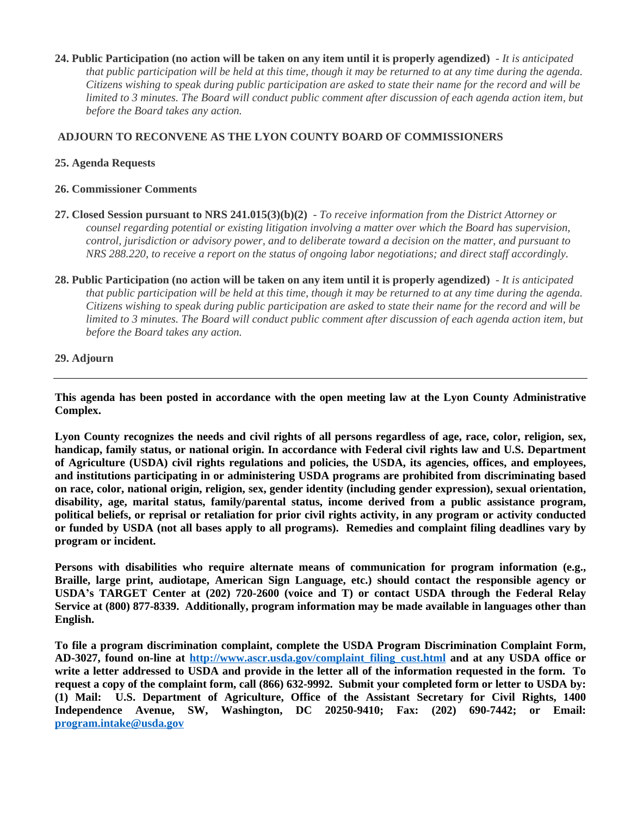**24. Public Participation (no action will be taken on any item until it is properly agendized)** - *It is anticipated that public participation will be held at this time, though it may be returned to at any time during the agenda. Citizens wishing to speak during public participation are asked to state their name for the record and will be limited to 3 minutes. The Board will conduct public comment after discussion of each agenda action item, but before the Board takes any action.*

### **ADJOURN TO RECONVENE AS THE LYON COUNTY BOARD OF COMMISSIONERS**

### **25. Agenda Requests**

### **26. Commissioner Comments**

- **27. Closed Session pursuant to NRS 241.015(3)(b)(2)** *To receive information from the District Attorney or counsel regarding potential or existing litigation involving a matter over which the Board has supervision, control, jurisdiction or advisory power, and to deliberate toward a decision on the matter, and pursuant to NRS 288.220, to receive a report on the status of ongoing labor negotiations; and direct staff accordingly.*
- **28. Public Participation (no action will be taken on any item until it is properly agendized)** *It is anticipated that public participation will be held at this time, though it may be returned to at any time during the agenda. Citizens wishing to speak during public participation are asked to state their name for the record and will be limited to 3 minutes. The Board will conduct public comment after discussion of each agenda action item, but before the Board takes any action.*

### **29. Adjourn**

**This agenda has been posted in accordance with the open meeting law at the Lyon County Administrative Complex.**

Lyon County recognizes the needs and civil rights of all persons regardless of age, race, color, religion, sex, **handicap, family status, or national origin. In accordance with Federal civil rights law and U.S. Department of Agriculture (USDA) civil rights regulations and policies, the USDA, its agencies, offices, and employees, and institutions participating in or administering USDA programs are prohibited from discriminating based on race, color, national origin, religion, sex, gender identity (including gender expression), sexual orientation, disability, age, marital status, family/parental status, income derived from a public assistance program,** political beliefs, or reprisal or retaliation for prior civil rights activity, in any program or activity conducted or funded by USDA (not all bases apply to all programs). Remedies and complaint filing deadlines vary by **program or incident.**

**Persons with disabilities who require alternate means of communication for program information (e.g., Braille, large print, audiotape, American Sign Language, etc.) should contact the responsible agency or USDA's TARGET Center at (202) 720-2600 (voice and T) or contact USDA through the Federal Relay Service at (800) 877-8339. Additionally, program information may be made available in languages other than English.**

**To file a program discrimination complaint, complete the USDA Program Discrimination Complaint Form, AD-3027, found on-line at [http://www.ascr.usda.gov/complaint\\_filing\\_cust.html](http://www.ascr.usda.gov/complaint_filing_cust.html) and at any USDA office or** write a letter addressed to USDA and provide in the letter all of the information requested in the form. To request a copy of the complaint form, call (866) 632-9992. Submit your completed form or letter to USDA by: **(1) Mail: U.S. Department of Agriculture, Office of the Assistant Secretary for Civil Rights, 1400 Independence Avenue, SW, Washington, DC 20250-9410; Fax: (202) 690-7442; or Email: [program.intake@usda.gov](mailto:program.intake@usda.gov)**